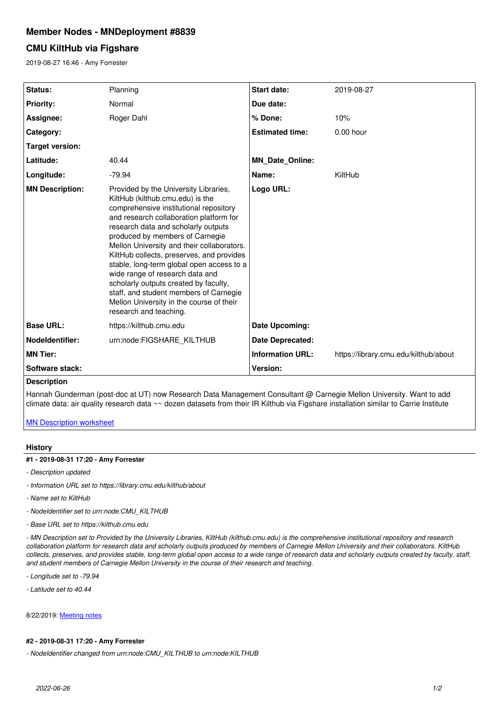# **Member Nodes - MNDeployment #8839**

# **CMU KiltHub via Figshare**

2019-08-27 16:46 - Amy Forrester

| <b>Status:</b>         | Planning                                                                                                                                                                                                                                                                                                                                                                                                                                                                                                                                                                     | Start date:             | 2019-08-27                            |
|------------------------|------------------------------------------------------------------------------------------------------------------------------------------------------------------------------------------------------------------------------------------------------------------------------------------------------------------------------------------------------------------------------------------------------------------------------------------------------------------------------------------------------------------------------------------------------------------------------|-------------------------|---------------------------------------|
| <b>Priority:</b>       | Normal                                                                                                                                                                                                                                                                                                                                                                                                                                                                                                                                                                       | Due date:               |                                       |
| Assignee:              | Roger Dahl                                                                                                                                                                                                                                                                                                                                                                                                                                                                                                                                                                   | % Done:                 | 10%                                   |
| Category:              |                                                                                                                                                                                                                                                                                                                                                                                                                                                                                                                                                                              | <b>Estimated time:</b>  | $0.00$ hour                           |
| <b>Target version:</b> |                                                                                                                                                                                                                                                                                                                                                                                                                                                                                                                                                                              |                         |                                       |
| Latitude:              | 40.44                                                                                                                                                                                                                                                                                                                                                                                                                                                                                                                                                                        | <b>MN Date Online:</b>  |                                       |
| Longitude:             | $-79.94$                                                                                                                                                                                                                                                                                                                                                                                                                                                                                                                                                                     | Name:                   | KiltHub                               |
| <b>MN Description:</b> | Provided by the University Libraries,<br>KiltHub (kilthub.cmu.edu) is the<br>comprehensive institutional repository<br>and research collaboration platform for<br>research data and scholarly outputs<br>produced by members of Carnegie<br>Mellon University and their collaborators.<br>KiltHub collects, preserves, and provides<br>stable, long-term global open access to a<br>wide range of research data and<br>scholarly outputs created by faculty,<br>staff, and student members of Carnegie<br>Mellon University in the course of their<br>research and teaching. | Logo URL:               |                                       |
| <b>Base URL:</b>       | https://kilthub.cmu.edu                                                                                                                                                                                                                                                                                                                                                                                                                                                                                                                                                      | Date Upcoming:          |                                       |
| Nodeldentifier:        | urn:node:FIGSHARE KILTHUB                                                                                                                                                                                                                                                                                                                                                                                                                                                                                                                                                    | <b>Date Deprecated:</b> |                                       |
| <b>MN Tier:</b>        |                                                                                                                                                                                                                                                                                                                                                                                                                                                                                                                                                                              | <b>Information URL:</b> | https://library.cmu.edu/kilthub/about |
| Software stack:        |                                                                                                                                                                                                                                                                                                                                                                                                                                                                                                                                                                              | Version:                |                                       |
| <b>Description</b>     |                                                                                                                                                                                                                                                                                                                                                                                                                                                                                                                                                                              |                         |                                       |

Hannah Gunderman (post-doc at UT) now Research Data Management Consultant @ Carnegie Mellon University. Want to add climate data: air quality research data ~~ dozen datasets from their IR Kilthub via Figshare installation similar to Carrie Institute

[MN Description worksheet](https://drive.google.com/file/d/1a3oGIEQk5pa-A-B6iPjur7AsIkf1Wkjz/view?usp=sharing)

### **History**

## **#1 - 2019-08-31 17:20 - Amy Forrester**

- *Description updated*
- *Information URL set to https://library.cmu.edu/kilthub/about*
- *Name set to KiltHub*
- *NodeIdentifier set to urn:node:CMU\_KILTHUB*
- *Base URL set to https://kilthub.cmu.edu*

*- MN Description set to Provided by the University Libraries, KiltHub (kilthub.cmu.edu) is the comprehensive institutional repository and research collaboration platform for research data and scholarly outputs produced by members of Carnegie Mellon University and their collaborators. KiltHub collects, preserves, and provides stable, long-term global open access to a wide range of research data and scholarly outputs created by faculty, staff, and student members of Carnegie Mellon University in the course of their research and teaching.*

- *Longitude set to -79.94*
- *Latitude set to 40.44*

8/22/2019: [Meeting notes](https://epad.dataone.org/pad/p/CMU-Kilthub_via_Figshare)

#### **#2 - 2019-08-31 17:20 - Amy Forrester**

*- NodeIdentifier changed from urn:node:CMU\_KILTHUB to urn:node:KILTHUB*